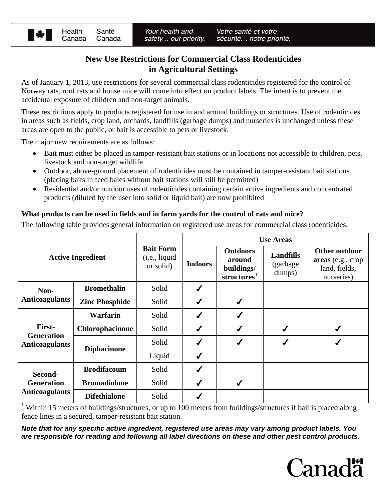

# **New Use Restrictions for Commercial Class Rodenticides in Agricultural Settings**

As of January 1, 2013, use restrictions for several commercial class rodenticides registered for the control of Norway rats*,* roof rats and house mice will come into effect on product labels. The intent is to prevent the accidental exposure of children and non-target animals.

These restrictions apply to products registered for use in and around buildings or structures. Use of rodenticides in areas such as fields, crop land, orchards, landfills (garbage dumps) and nurseries is unchanged unless these areas are open to the public, or bait is accessible to pets or livestock.

The major new requirements are as follows:

- Bait must either be placed in tamper-resistant bait stations or in locations not accessible to children, pets, livestock and non-target wildlife
- Outdoor, above-ground placement of rodenticides must be contained in tamper-resistant bait stations (placing baits in feed bales without bait stations will still be permitted)
- Residential and/or outdoor uses of rodenticides containing certain active ingredients and concentrated products (diluted by the user into solid or liquid bait) are now prohibited

### **What products can be used in fields and in farm yards for the control of rats and mice?**

The following table provides general information on registered use areas for commercial class rodenticides.

| <b>Active Ingredient</b>                              |                       | <b>Bait Form</b><br>(i.e., liquid)<br>or solid) | <b>Use Areas</b> |                                                                    |                                         |                                                                   |
|-------------------------------------------------------|-----------------------|-------------------------------------------------|------------------|--------------------------------------------------------------------|-----------------------------------------|-------------------------------------------------------------------|
|                                                       |                       |                                                 | <b>Indoors</b>   | <b>Outdoors</b><br>around<br>buildings/<br>structures <sup>1</sup> | <b>Landfills</b><br>(garbage)<br>dumps) | Other outdoor<br>areas (e.g., crop<br>land, fields,<br>nurseries) |
| Non-<br><b>Anticoagulants</b>                         | <b>Bromethalin</b>    | Solid                                           | $\checkmark$     |                                                                    |                                         |                                                                   |
|                                                       | <b>Zinc Phosphide</b> | Solid                                           | $\checkmark$     | $\checkmark$                                                       |                                         |                                                                   |
| First-<br><b>Generation</b><br><b>Anticoagulants</b>  | Warfarin              | Solid                                           | ✔                | ✔                                                                  |                                         |                                                                   |
|                                                       | Chlorophacinone       | Solid                                           | $\checkmark$     |                                                                    |                                         |                                                                   |
|                                                       | <b>Diphacinone</b>    | Solid                                           | ✔                |                                                                    |                                         |                                                                   |
|                                                       |                       | Liquid                                          | $\checkmark$     |                                                                    |                                         |                                                                   |
| Second-<br><b>Generation</b><br><b>Anticoagulants</b> | <b>Brodifacoum</b>    | Solid                                           | ✔                |                                                                    |                                         |                                                                   |
|                                                       | <b>Bromadiolone</b>   | Solid                                           | $\checkmark$     |                                                                    |                                         |                                                                   |
|                                                       | <b>Difethialone</b>   | Solid                                           |                  |                                                                    |                                         |                                                                   |

<sup>1</sup> Within 15 meters of buildings/structures, or up to 100 meters from buildings/structures if bait is placed along fence lines in a secured, tamper-resistant bait station.

*Note that for any specific active ingredient, registered use areas may vary among product labels. You are responsible for reading and following all label directions on these and other pest control products.*